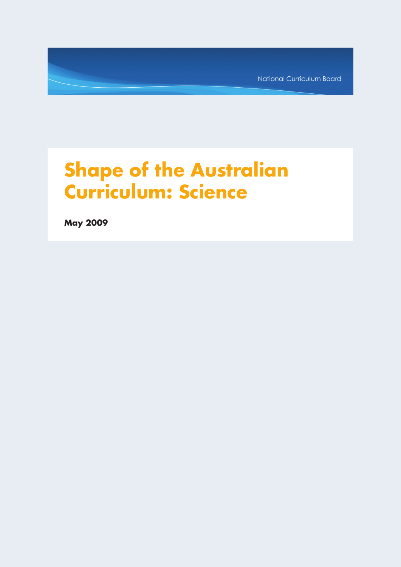National Curriculum Board

# **Shape of the Australian Curriculum: Science**

**May 2009**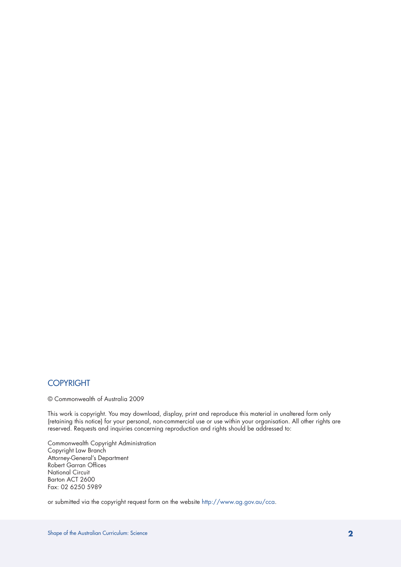## COPYRIGHT

© Commonwealth of Australia 2009

This work is copyright. You may download, display, print and reproduce this material in unaltered form only (retaining this notice) for your personal, non-commercial use or use within your organisation. All other rights are reserved. Requests and inquiries concerning reproduction and rights should be addressed to:

Commonwealth Copyright Administration Copyright Law Branch Attorney-General's Department Robert Garran Offices National Circuit Barton ACT 2600 Fax: 02 6250 5989

or submitted via the copyright request form on the website http://www.ag.gov.au/cca.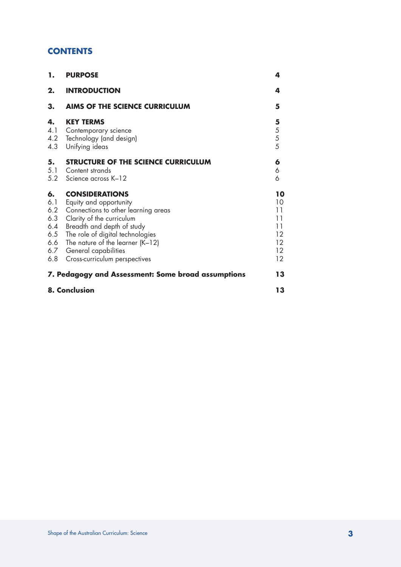# **CONTENTS**

| 1.                                                         | <b>PURPOSE</b>                                                                                                                                                                                                                                                                       | 4                                                  |
|------------------------------------------------------------|--------------------------------------------------------------------------------------------------------------------------------------------------------------------------------------------------------------------------------------------------------------------------------------|----------------------------------------------------|
| 2.                                                         | <b>INTRODUCTION</b>                                                                                                                                                                                                                                                                  | 4                                                  |
| 3.                                                         | <b>AIMS OF THE SCIENCE CURRICULUM</b>                                                                                                                                                                                                                                                | 5                                                  |
| 4.<br>4.1<br>4.2<br>4.3                                    | <b>KEY TERMS</b><br>Contemporary science<br>Technology (and design)<br>Unifying ideas                                                                                                                                                                                                | 5<br>$\begin{array}{c} 5 \\ 5 \\ 5 \end{array}$    |
| 5.<br>5.1<br>5.2                                           | STRUCTURE OF THE SCIENCE CURRICULUM<br>Content strands<br>Science across K-12                                                                                                                                                                                                        | 6<br>6<br>6                                        |
| 6.<br>6.1<br>6.2<br>6.3<br>6.4<br>6.5<br>6.6<br>6.7<br>6.8 | <b>CONSIDERATIONS</b><br>Equity and opportunity<br>Connections to other learning areas<br>Clarity of the curriculum<br>Breadth and depth of study<br>The role of digital technologies<br>The nature of the learner $(K-12)$<br>General capabilities<br>Cross-curriculum perspectives | 10<br>10<br>11<br>11<br>11<br>12<br>12<br>12<br>12 |
| 7. Pedagogy and Assessment: Some broad assumptions         |                                                                                                                                                                                                                                                                                      | 13                                                 |
| 8. Conclusion                                              |                                                                                                                                                                                                                                                                                      | 13                                                 |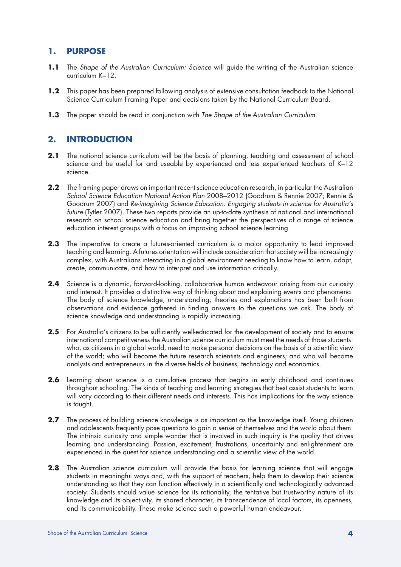## **1. PURPOSE**

- **1.1** The *Shape of the Australian Curriculum: Science* will guide the writing of the Australian science curriculum K–12.
- **1.2** This paper has been prepared following analysis of extensive consultation feedback to the National Science Curriculum Framing Paper and decisions taken by the National Curriculum Board.
- **1.3** The paper should be read in conjunction with *The Shape of the Australian Curriculum*.

# **2. INTRODUCTION**

- **2.1** The national science curriculum will be the basis of planning, teaching and assessment of school science and be useful for and useable by experienced and less experienced teachers of K–12 science.
- 2.2 The framing paper draws on important recent science education research, in particular the Australian *School Science Education National Action Plan* 2008–2012 (Goodrum & Rennie 2007; Rennie & Goodrum 2007) and *Re-imagining Science Education: Engaging students in science for Australia's future* (Tytler 2007). These two reports provide an up-to-date synthesis of national and international research on school science education and bring together the perspectives of a range of science education interest groups with a focus on improving school science learning.
- **2.3** The imperative to create a futures-oriented curriculum is a major opportunity to lead improved teaching and learning. A futures orientation will include consideration that society will be increasingly complex, with Australians interacting in a global environment needing to know how to learn, adapt, create, communicate, and how to interpret and use information critically.
- **2.4** Science is a dynamic, forward-looking, collaborative human endeavour arising from our curiosity and interest. It provides a distinctive way of thinking about and explaining events and phenomena. The body of science knowledge, understanding, theories and explanations has been built from observations and evidence gathered in finding answers to the questions we ask. The body of science knowledge and understanding is rapidly increasing.
- 2.5 For Australia's citizens to be sufficiently well-educated for the development of society and to ensure international competitiveness the Australian science curriculum must meet the needs of those students: who, as citizens in a global world, need to make personal decisions on the basis of a scientific view of the world; who will become the future research scientists and engineers; and who will become analysts and entrepreneurs in the diverse fields of business, technology and economics.
- **2.6** Learning about science is a cumulative process that begins in early childhood and continues throughout schooling. The kinds of teaching and learning strategies that best assist students to learn will vary according to their different needs and interests. This has implications for the way science is taught.
- 2.7 The process of building science knowledge is as important as the knowledge itself. Young children and adolescents frequently pose questions to gain a sense of themselves and the world about them. The intrinsic curiosity and simple wonder that is involved in such inquiry is the quality that drives learning and understanding. Passion, excitement, frustrations, uncertainty and enlightenment are experienced in the quest for science understanding and a scientific view of the world.
- 2.8 The Australian science curriculum will provide the basis for learning science that will engage students in meaningful ways and, with the support of teachers, help them to develop their science understanding so that they can function effectively in a scientifically and technologically advanced society. Students should value science for its rationality, the tentative but trustworthy nature of its knowledge and its objectivity, its shared character, its transcendence of local factors, its openness, and its communicability. These make science such a powerful human endeavour.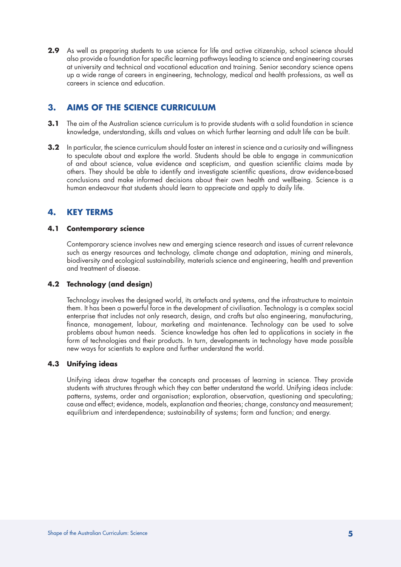**2.9** As well as preparing students to use science for life and active citizenship, school science should also provide a foundation for specific learning pathways leading to science and engineering courses at university and technical and vocational education and training. Senior secondary science opens up a wide range of careers in engineering, technology, medical and health professions, as well as careers in science and education.

# **3. AIMS OF THE SCIENCE CURRICULUM**

- **3.1** The aim of the Australian science curriculum is to provide students with a solid foundation in science knowledge, understanding, skills and values on which further learning and adult life can be built.
- **3.2** In particular, the science curriculum should foster an interest in science and a curiosity and willingness to speculate about and explore the world. Students should be able to engage in communication of and about science, value evidence and scepticism, and question scientific claims made by others. They should be able to identify and investigate scientific questions, draw evidence-based conclusions and make informed decisions about their own health and wellbeing. Science is a human endeavour that students should learn to appreciate and apply to daily life.

# **4. KEY TERMS**

## **4.1 Contemporary science**

Contemporary science involves new and emerging science research and issues of current relevance such as energy resources and technology, climate change and adaptation, mining and minerals, biodiversity and ecological sustainability, materials science and engineering, health and prevention and treatment of disease.

## **4.2 Technology (and design)**

Technology involves the designed world, its artefacts and systems, and the infrastructure to maintain them. It has been a powerful force in the development of civilisation. Technology is a complex social enterprise that includes not only research, design, and crafts but also engineering, manufacturing, finance, management, labour, marketing and maintenance. Technology can be used to solve problems about human needs. Science knowledge has often led to applications in society in the form of technologies and their products. In turn, developments in technology have made possible new ways for scientists to explore and further understand the world.

## **4.3 Unifying ideas**

Unifying ideas draw together the concepts and processes of learning in science. They provide students with structures through which they can better understand the world. Unifying ideas include: patterns, systems, order and organisation; exploration, observation, questioning and speculating; cause and effect; evidence, models, explanation and theories; change, constancy and measurement; equilibrium and interdependence; sustainability of systems; form and function; and energy.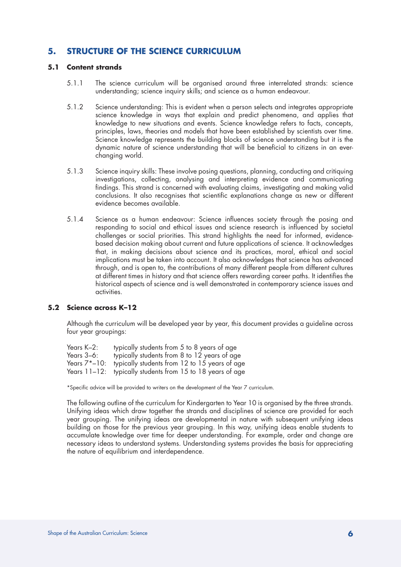## **5. STRUCTURE OF THE SCIENCE CURRICULUM**

#### **5.1 Content strands**

- 5.1.1 The science curriculum will be organised around three interrelated strands: science understanding; science inquiry skills; and science as a human endeavour.
- 5.1.2 Science understanding: This is evident when a person selects and integrates appropriate science knowledge in ways that explain and predict phenomena, and applies that knowledge to new situations and events. Science knowledge refers to facts, concepts, principles, laws, theories and models that have been established by scientists over time. Science knowledge represents the building blocks of science understanding but it is the dynamic nature of science understanding that will be beneficial to citizens in an everchanging world.
- 5.1.3 Science inquiry skills: These involve posing questions, planning, conducting and critiquing investigations, collecting, analysing and interpreting evidence and communicating findings. This strand is concerned with evaluating claims, investigating and making valid conclusions. It also recognises that scientific explanations change as new or different evidence becomes available.
- 5.1.4 Science as a human endeavour: Science influences society through the posing and responding to social and ethical issues and science research is influenced by societal challenges or social priorities. This strand highlights the need for informed, evidencebased decision making about current and future applications of science. It acknowledges that, in making decisions about science and its practices, moral, ethical and social implications must be taken into account. It also acknowledges that science has advanced through, and is open to, the contributions of many different people from different cultures at different times in history and that science offers rewarding career paths. It identifies the historical aspects of science and is well demonstrated in contemporary science issues and activities.

#### **5.2 Science across K–12**

Although the curriculum will be developed year by year, this document provides a guideline across four year groupings:

| Years K-2:      | typically students from 5 to 8 years of age                |
|-----------------|------------------------------------------------------------|
| Years 3–6:      | typically students from 8 to 12 years of age               |
| Years $7*-10$ : | typically students from 12 to 15 years of age              |
|                 | Years 11-12: typically students from 15 to 18 years of age |

\*Specific advice will be provided to writers on the development of the Year 7 curriculum.

The following outline of the curriculum for Kindergarten to Year 10 is organised by the three strands. Unifying ideas which draw together the strands and disciplines of science are provided for each year grouping. The unifying ideas are developmental in nature with subsequent unifying ideas building on those for the previous year grouping. In this way, unifying ideas enable students to accumulate knowledge over time for deeper understanding. For example, order and change are necessary ideas to understand systems. Understanding systems provides the basis for appreciating the nature of equilibrium and interdependence.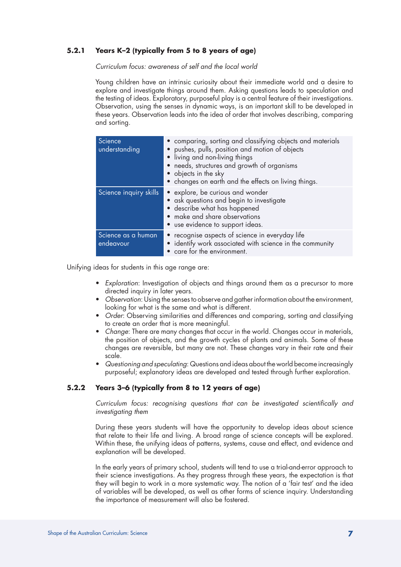## **5.2.1 Years K–2 (typically from 5 to 8 years of age)**

*Curriculum focus: awareness of self and the local world*

Young children have an intrinsic curiosity about their immediate world and a desire to explore and investigate things around them. Asking questions leads to speculation and the testing of ideas. Exploratory, purposeful play is a central feature of their investigations. Observation, using the senses in dynamic ways, is an important skill to be developed in these years. Observation leads into the idea of order that involves describing, comparing and sorting.

| Science<br>understanding        | • comparing, sorting and classifying objects and materials<br>• pushes, pulls, position and motion of objects<br>• living and non-living things<br>• needs, structures and growth of organisms<br>• objects in the sky<br>• changes on earth and the effects on living things. |
|---------------------------------|--------------------------------------------------------------------------------------------------------------------------------------------------------------------------------------------------------------------------------------------------------------------------------|
| Science inquiry skills          | • explore, be curious and wonder<br>• ask questions and begin to investigate<br>• describe what has happened<br>• make and share observations<br>• use evidence to support ideas.                                                                                              |
| Science as a human<br>endeavour | • recognise aspects of science in everyday life<br>• identify work associated with science in the community<br>• care for the environment.                                                                                                                                     |

Unifying ideas for students in this age range are:

- • *Exploration*: Investigation of objects and things around them as a precursor to more directed inquiry in later years.
- • *Observation*: Using the senses to observe and gather information about the environment, looking for what is the same and what is different.
- • *Order*: Observing similarities and differences and comparing, sorting and classifying to create an order that is more meaningful.
- • *Change*: There are many changes that occur in the world. Changes occur in materials, the position of objects, and the growth cycles of plants and animals. Some of these changes are reversible, but many are not. These changes vary in their rate and their scale.
- • *Questioning and speculating*: Questions and ideas about the world become increasingly purposeful; explanatory ideas are developed and tested through further exploration.

## **5.2.2 Years 3–6 (typically from 8 to 12 years of age)**

*Curriculum focus: recognising questions that can be investigated scientifically and investigating them*

During these years students will have the opportunity to develop ideas about science that relate to their life and living. A broad range of science concepts will be explored. Within these, the unifying ideas of patterns, systems, cause and effect, and evidence and explanation will be developed.

In the early years of primary school, students will tend to use a trial-and-error approach to their science investigations. As they progress through these years, the expectation is that they will begin to work in a more systematic way. The notion of a 'fair test' and the idea of variables will be developed, as well as other forms of science inquiry. Understanding the importance of measurement will also be fostered.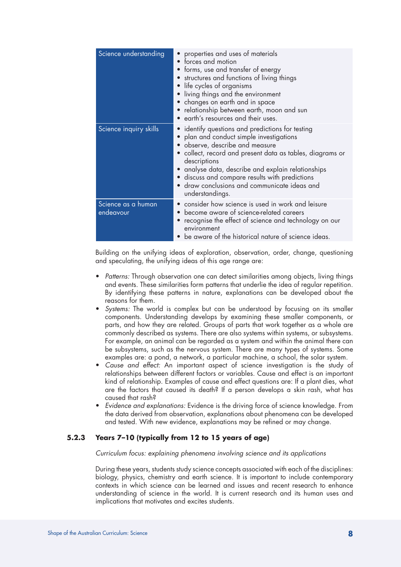| Science understanding           | properties and uses of materials<br>forces and motion<br>forms, use and transfer of energy<br>structures and functions of living things<br>life cycles of organisms<br>living things and the environment<br>• changes on earth and in space<br>relationship between earth, moon and sun<br>• earth's resources and their uses.                                                                 |
|---------------------------------|------------------------------------------------------------------------------------------------------------------------------------------------------------------------------------------------------------------------------------------------------------------------------------------------------------------------------------------------------------------------------------------------|
| Science inquiry skills          | identify questions and predictions for testing<br>$\bullet$<br>plan and conduct simple investigations<br>observe, describe and measure<br>• collect, record and present data as tables, diagrams or<br>descriptions<br>• analyse data, describe and explain relationships<br>• discuss and compare results with predictions<br>· draw conclusions and communicate ideas and<br>understandings. |
| Science as a human<br>endeavour | • consider how science is used in work and leisure<br>become aware of science-related careers<br>recognise the effect of science and technology on our<br>environment<br>be aware of the historical nature of science ideas.                                                                                                                                                                   |

Building on the unifying ideas of exploration, observation, order, change, questioning and speculating, the unifying ideas of this age range are:

- *Patterns:* Through observation one can detect similarities among objects, living things and events. These similarities form patterns that underlie the idea of regular repetition. By identifying these patterns in nature, explanations can be developed about the reasons for them.
- Systems: The world is complex but can be understood by focusing on its smaller components. Understanding develops by examining these smaller components, or parts, and how they are related. Groups of parts that work together as a whole are commonly described as systems. There are also systems within systems, or subsystems. For example, an animal can be regarded as a system and within the animal there can be subsystems, such as the nervous system. There are many types of systems. Some examples are: a pond, a network, a particular machine, a school, the solar system.
- • *Cause and effect:* An important aspect of science investigation is the study of relationships between different factors or variables. Cause and effect is an important kind of relationship. Examples of cause and effect questions are: If a plant dies, what are the factors that caused its death? If a person develops a skin rash, what has caused that rash?
- *Evidence and explanations:* Evidence is the driving force of science knowledge. From the data derived from observation, explanations about phenomena can be developed and tested. With new evidence, explanations may be refined or may change.

## **5.2.3 Years 7–10 (typically from 12 to 15 years of age)**

*Curriculum focus: explaining phenomena involving science and its applications*

During these years, students study science concepts associated with each of the disciplines: biology, physics, chemistry and earth science. It is important to include contemporary contexts in which science can be learned and issues and recent research to enhance understanding of science in the world. It is current research and its human uses and implications that motivates and excites students.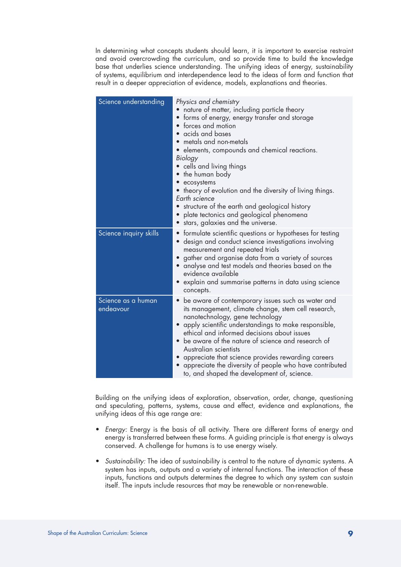In determining what concepts students should learn, it is important to exercise restraint and avoid overcrowding the curriculum, and so provide time to build the knowledge base that underlies science understanding. The unifying ideas of energy, sustainability of systems, equilibrium and interdependence lead to the ideas of form and function that result in a deeper appreciation of evidence, models, explanations and theories.

| Science understanding           | Physics and chemistry<br>nature of matter, including particle theory<br>• forms of energy, energy transfer and storage<br>forces and motion<br>· acids and bases<br>metals and non-metals<br>• elements, compounds and chemical reactions.<br>Biology<br>• cells and living things<br>• the human body<br>• ecosystems<br>• theory of evolution and the diversity of living things.<br>Earth science                                                                                                                           |
|---------------------------------|--------------------------------------------------------------------------------------------------------------------------------------------------------------------------------------------------------------------------------------------------------------------------------------------------------------------------------------------------------------------------------------------------------------------------------------------------------------------------------------------------------------------------------|
|                                 | • structure of the earth and geological history<br>• plate tectonics and geological phenomena<br>stars, galaxies and the universe.                                                                                                                                                                                                                                                                                                                                                                                             |
| Science inquiry skills          | • formulate scientific questions or hypotheses for testing<br>· design and conduct science investigations involving<br>measurement and repeated trials<br>gather and organise data from a variety of sources<br>$\bullet$<br>analyse and test models and theories based on the<br>evidence available<br>• explain and summarise patterns in data using science<br>concepts.                                                                                                                                                    |
| Science as a human<br>endeavour | be aware of contemporary issues such as water and<br>$\bullet$<br>its management, climate change, stem cell research,<br>nanotechnology, gene technology<br>apply scientific understandings to make responsible,<br>$\bullet$<br>ethical and informed decisions about issues<br>• be aware of the nature of science and research of<br>Australian scientists<br>• appreciate that science provides rewarding careers<br>appreciate the diversity of people who have contributed<br>to, and shaped the development of, science. |

Building on the unifying ideas of exploration, observation, order, change, questioning and speculating, patterns, systems, cause and effect, evidence and explanations, the unifying ideas of this age range are:

- • *Energy:* Energy is the basis of all activity. There are different forms of energy and energy is transferred between these forms. A guiding principle is that energy is always conserved. A challenge for humans is to use energy wisely.
- • *Sustainability:* The idea of sustainability is central to the nature of dynamic systems. A system has inputs, outputs and a variety of internal functions. The interaction of these inputs, functions and outputs determines the degree to which any system can sustain itself. The inputs include resources that may be renewable or non-renewable.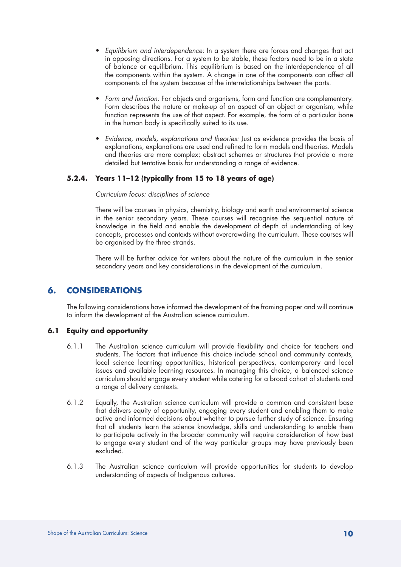- • *Equilibrium and interdependence:* In a system there are forces and changes that act in opposing directions. For a system to be stable, these factors need to be in a state of balance or equilibrium. This equilibrium is based on the interdependence of all the components within the system. A change in one of the components can affect all components of the system because of the interrelationships between the parts.
- Form and function: For objects and organisms, form and function are complementary. Form describes the nature or make-up of an aspect of an object or organism, while function represents the use of that aspect. For example, the form of a particular bone in the human body is specifically suited to its use.
- • *Evidence, models, explanations and theories:* Just as evidence provides the basis of explanations, explanations are used and refined to form models and theories. Models and theories are more complex; abstract schemes or structures that provide a more detailed but tentative basis for understanding a range of evidence.

## **5.2.4. Years 11–12 (typically from 15 to 18 years of age)**

#### *Curriculum focus: disciplines of science*

There will be courses in physics, chemistry, biology and earth and environmental science in the senior secondary years. These courses will recognise the sequential nature of knowledge in the field and enable the development of depth of understanding of key concepts, processes and contexts without overcrowding the curriculum. These courses will be organised by the three strands.

There will be further advice for writers about the nature of the curriculum in the senior secondary years and key considerations in the development of the curriculum.

## **6. CONSIDERATIONS**

The following considerations have informed the development of the framing paper and will continue to inform the development of the Australian science curriculum.

## **6.1 Equity and opportunity**

- 6.1.1 The Australian science curriculum will provide flexibility and choice for teachers and students. The factors that influence this choice include school and community contexts, local science learning opportunities, historical perspectives, contemporary and local issues and available learning resources. In managing this choice, a balanced science curriculum should engage every student while catering for a broad cohort of students and a range of delivery contexts.
- 6.1.2 Equally, the Australian science curriculum will provide a common and consistent base that delivers equity of opportunity, engaging every student and enabling them to make active and informed decisions about whether to pursue further study of science. Ensuring that all students learn the science knowledge, skills and understanding to enable them to participate actively in the broader community will require consideration of how best to engage every student and of the way particular groups may have previously been excluded.
- 6.1.3 The Australian science curriculum will provide opportunities for students to develop understanding of aspects of Indigenous cultures.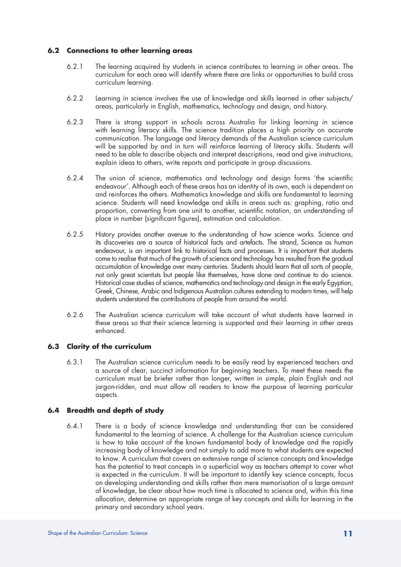#### **6.2 Connections to other learning areas**

- 6.2.1 The learning acquired by students in science contributes to learning in other areas. The curriculum for each area will identify where there are links or opportunities to build cross curriculum learning.
- 6.2.2 Learning in science involves the use of knowledge and skills learned in other subjects/ areas, particularly in English, mathematics, technology and design, and history.
- 6.2.3 There is strong support in schools across Australia for linking learning in science with learning literacy skills. The science tradition places a high priority on accurate communication. The language and literacy demands of the Australian science curriculum will be supported by and in turn will reinforce learning of literacy skills. Students will need to be able to describe objects and interpret descriptions, read and give instructions, explain ideas to others, write reports and participate in group discussions.
- 6.2.4 The union of science, mathematics and technology and design forms 'the scientific endeavour'. Although each of these areas has an identity of its own, each is dependent on and reinforces the others. Mathematics knowledge and skills are fundamental to learning science. Students will need knowledge and skills in areas such as: graphing, ratio and proportion, converting from one unit to another, scientific notation, an understanding of place in number (significant figures), estimation and calculation.
- 6.2.5 History provides another avenue to the understanding of how science works. Science and its discoveries are a source of historical facts and artefacts. The strand, Science as human endeavour, is an important link to historical facts and processes. It is important that students come to realise that much of the growth of science and technology has resulted from the gradual accumulation of knowledge over many centuries. Students should learn that all sorts of people, not only great scientists but people like themselves, have done and continue to do science. Historical case studies of science, mathematics and technology and design in the early Egyptian, Greek, Chinese, Arabic and Indigenous Australian cultures extending to modern times, will help students understand the contributions of people from around the world.
- 6.2.6 The Australian science curriculum will take account of what students have learned in these areas so that their science learning is supported and their learning in other areas enhanced.

## **6.3 Clarity of the curriculum**

6.3.1 The Australian science curriculum needs to be easily read by experienced teachers and a source of clear, succinct information for beginning teachers. To meet these needs the curriculum must be briefer rather than longer, written in simple, plain English and not jargon-ridden, and must allow all readers to know the purpose of learning particular aspects.

#### **6.4 Breadth and depth of study**

6.4.1 There is a body of science knowledge and understanding that can be considered fundamental to the learning of science. A challenge for the Australian science curriculum is how to take account of the known fundamental body of knowledge and the rapidly increasing body of knowledge and not simply to add more to what students are expected to know. A curriculum that covers an extensive range of science concepts and knowledge has the potential to treat concepts in a superficial way as teachers attempt to cover what is expected in the curriculum. It will be important to identify key science concepts, focus on developing understanding and skills rather than mere memorisation of a large amount of knowledge, be clear about how much time is allocated to science and, within this time allocation, determine an appropriate range of key concepts and skills for learning in the primary and secondary school years.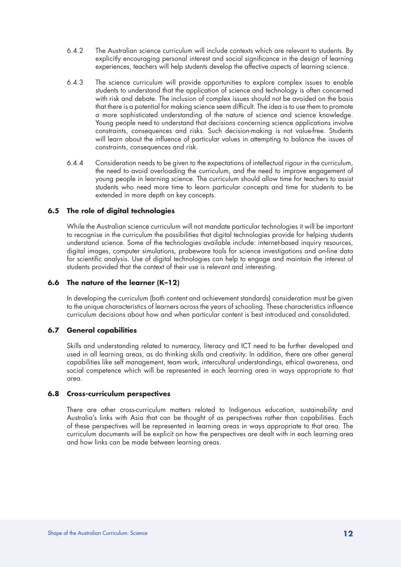- 6.4.2 The Australian science curriculum will include contexts which are relevant to students. By explicitly encouraging personal interest and social significance in the design of learning experiences, teachers will help students develop the affective aspects of learning science.
- 6.4.3 The science curriculum will provide opportunities to explore complex issues to enable students to understand that the application of science and technology is often concerned with risk and debate. The inclusion of complex issues should not be avoided on the basis that there is a potential for making science seem difficult. The idea is to use them to promote a more sophisticated understanding of the nature of science and science knowledge. Young people need to understand that decisions concerning science applications involve constraints, consequences and risks. Such decision-making is not value-free. Students will learn about the influence of particular values in attempting to balance the issues of constraints, consequences and risk.
- 6.4.4 Consideration needs to be given to the expectations of intellectual rigour in the curriculum, the need to avoid overloading the curriculum, and the need to improve engagement of young people in learning science. The curriculum should allow time for teachers to assist students who need more time to learn particular concepts and time for students to be extended in more depth on key concepts.

#### **6.5 The role of digital technologies**

While the Australian science curriculum will not mandate particular technologies it will be important to recognise in the curriculum the possibilities that digital technologies provide for helping students understand science. Some of the technologies available include: internet-based inquiry resources, digital images, computer simulations, probeware tools for science investigations and on-line data for scientific analysis. Use of digital technologies can help to engage and maintain the interest of students provided that the context of their use is relevant and interesting.

#### **6.6 The nature of the learner (K–12)**

In developing the curriculum (both content and achievement standards) consideration must be given to the unique characteristics of learners across the years of schooling. These characteristics influence curriculum decisions about how and when particular content is best introduced and consolidated.

#### **6.7 General capabilities**

Skills and understanding related to numeracy, literacy and ICT need to be further developed and used in all learning areas, as do thinking skills and creativity. In addition, there are other general capabilities like self management, team work, intercultural understandings, ethical awareness, and social competence which will be represented in each learning area in ways appropriate to that area.

#### **6.8 Cross-curriculum perspectives**

There are other cross-curriculum matters related to Indigenous education, sustainability and Australia's links with Asia that can be thought of as perspectives rather than capabilities. Each of these perspectives will be represented in learning areas in ways appropriate to that area. The curriculum documents will be explicit on how the perspectives are dealt with in each learning area and how links can be made between learning areas.